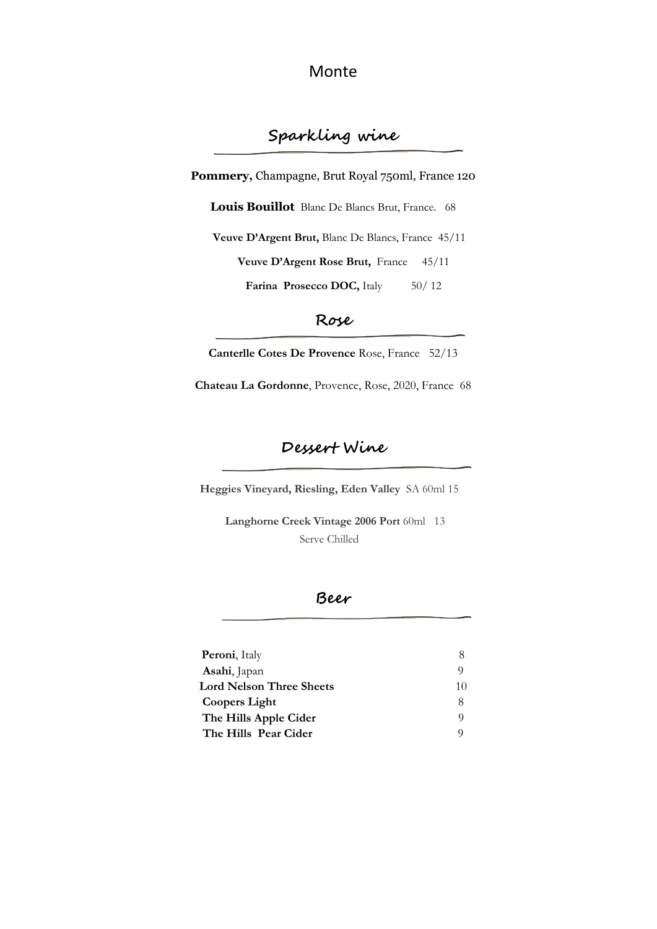Monte

# **Sparkling wine**

Pommery, Champagne, Brut Royal 750ml, France 120

**Louis Bouillot** Blanc De Blancs Brut, France. 68

**Veuve D'Argent Brut,** Blanc De Blancs, France 45/11

**Veuve D'Argent Rose Brut,** France 45/11

Farina Prosecco DOC, Italy 50/12

#### **Rose**

**Canterlle Cotes De Provence** Rose, France 52/13

**Chateau La Gordonne**, Provence, Rose, 2020, France 68

### **Dessert Wine**

**Heggies Vineyard, Riesling, Eden Valley** SA 60ml 15

 **Langhorne Creek Vintage 2006 Port** 60ml 13 Serve Chilled

### **Beer**

| <b>Peroni</b> , Italy           |    |
|---------------------------------|----|
| Asahi, Japan                    |    |
| <b>Lord Nelson Three Sheets</b> | 10 |
| <b>Coopers Light</b>            |    |
| The Hills Apple Cider           |    |
| The Hills Pear Cider            |    |